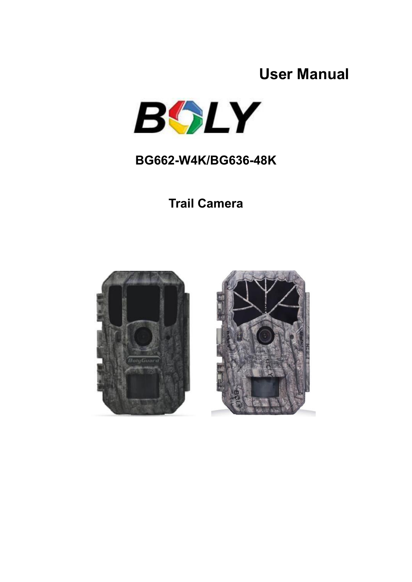### **User Manual**



#### **BG662-W4K/BG636-48K**

**Trail Camera**



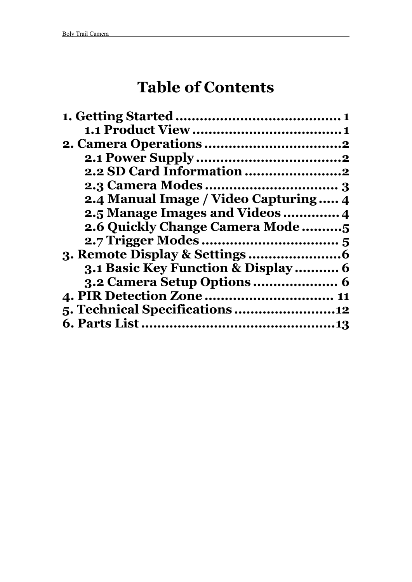## **Table of Contents**

| 2.4 Manual Image / Video Capturing 4 |
|--------------------------------------|
| 2.5 Manage Images and Videos  4      |
| 2.6 Quickly Change Camera Mode       |
|                                      |
|                                      |
| 3.1 Basic Key Function & Display 6   |
|                                      |
| 4. PIR Detection Zone  11            |
|                                      |
|                                      |
|                                      |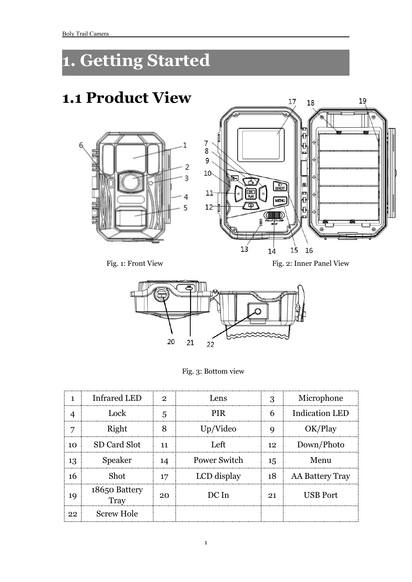## <span id="page-2-0"></span>**1. Getting Started**

## <span id="page-2-1"></span>**1.1 Product View**





Fig. 1: Front View Fig. 2: Inner Panel View



Fig. 3: Bottom view

|                  | <b>Infrared LED</b>   | $\Omega$ | Lens         | 3                     | Microphone            |
|------------------|-----------------------|----------|--------------|-----------------------|-----------------------|
|                  | Lock                  | 5        | PIR.         | 6<br>---------------- | <b>Indication LED</b> |
| г,               | Right                 | 8        | Up/Video     | Q                     | OK/Play               |
| 10               | SD Card Slot          | 11       | .eft         | 12                    | Down/Photo            |
| 13               | <b>Speaker</b>        | 14       | Power Switch | 15                    | Menu                  |
| 16               | Shot                  | 17       | LCD display  | 18                    | AA Battery Tray       |
| . <b>.</b><br>19 | 18650 Battery<br>Tray | 20       | DC In        | 21                    | <b>USB Port</b>       |
| 22               | <b>Screw Hole</b>     |          |              |                       |                       |
|                  |                       |          |              |                       |                       |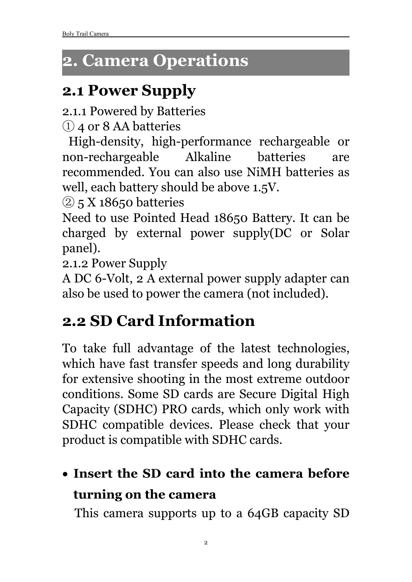## <span id="page-3-0"></span>**2. Camera Operations**

## <span id="page-3-1"></span>**2.1 Power Supply**

2.1.1 Powered by Batteries

① 4 or 8 AA batteries

High-density, high-performance rechargeable or non-rechargeable Alkaline batteries are recommended. You can also use NiMH batteries as well, each battery should be above 1.5V.

 $\circled{2}$  5 X 18650 batteries

Need to use Pointed Head 18650 Battery. It can be charged by external power supply(DC or Solar panel).

2.1.2 Power Supply

A DC 6-Volt, 2 A external power supply adapter can also be used to power the camera (not included).

## <span id="page-3-2"></span>**2.2 SD Card Information**

To take full advantage of the latest technologies, which have fast transfer speeds and long durability for extensive shooting in the most extreme outdoor conditions. Some SD cards are Secure Digital High Capacity (SDHC) PRO cards, which only work with SDHC compatible devices. Please check that your product is compatible with SDHC cards.

## **Insert the SD card into the camera before turning on the camera**

This camera supports up to a 64GB capacity SD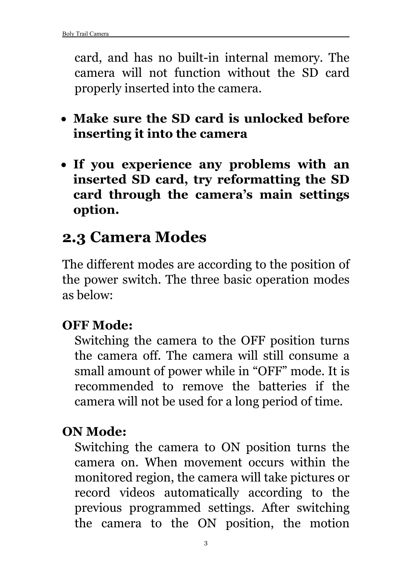card, and has no built-in internal memory. The camera will not function without the SD card properly inserted into the camera.

- **Make sure the SD card is unlocked before inserting it into the camera**
- **If you experience any problems with an inserted SD card, try reformatting the SD card through the camera's main settings option.**

### <span id="page-4-0"></span>**2.3 Camera Modes**

The different modes are according to the position of the power switch. The three basic operation modes as below:

#### **OFF Mode:**

Switching the camera to the OFF position turns the camera off. The camera will still consume a small amount of power while in "OFF" mode. It is recommended to remove the batteries if the camera will not be used for a long period of time.

#### **ON Mode:**

Switching the camera to ON position turns the camera on. When movement occurs within the monitored region, the camera will take pictures or record videos automatically according to the previous programmed settings. After switching the camera to the ON position, the motion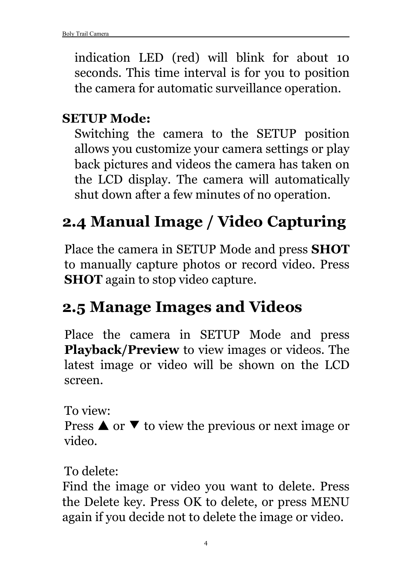indication LED (red) will blink for about 10 seconds. This time interval is for you to position the camera for automatic surveillance operation.

#### **SETUP Mode:**

Switching the camera to the SETUP position allows you customize your camera settings or play back pictures and videos the camera has taken on the LCD display. The camera will automatically shut down after a few minutes of no operation.

## <span id="page-5-0"></span>**2.4 Manual Image / Video Capturing**

Place the camera in SETUP Mode and press **SHOT** to manually capture photos or record video. Press **SHOT** again to stop video capture.

### <span id="page-5-1"></span>**2.5 Manage Images and Videos**

Place the camera in SETUP Mode and press **Playback/Preview** to view images or videos. The latest image or video will be shown on the LCD screen.

To view:

Press  $\triangle$  or  $\blacktriangledown$  to view the previous or next image or video.

To delete:

Find the image or video you want to delete. Press the Delete key. Press OK to delete, or press MENU again if you decide not to delete the image or video.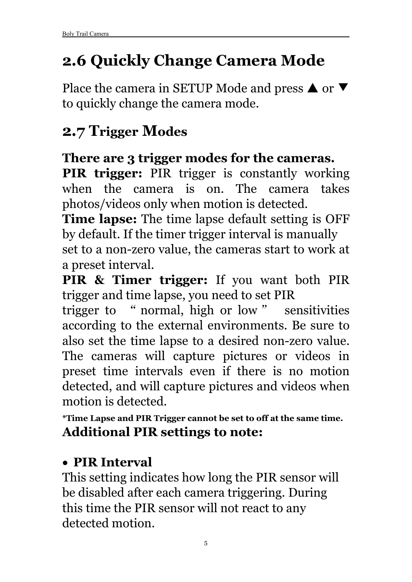## <span id="page-6-0"></span>**2.6 Quickly Change Camera Mode**

Place the camera in SETUP Mode and press  $\triangle$  or  $\nabla$ to quickly change the camera mode.

### <span id="page-6-1"></span>**2.7 Trigger Modes**

#### **There are 3 trigger modes for the cameras.**

**PIR trigger:** PIR trigger is constantly working when the camera is on. The camera takes photos/videos only when motion is detected.

**Time lapse:** The time lapse default setting is OFF by default. If the timer trigger interval is manually set to a non-zero value, the cameras start to work at a preset interval.

**PIR & Timer trigger:** If you want both PIR trigger and time lapse, you need to set PIR

trigger to " normal, high or low " sensitivities according to the external environments. Be sure to also set the time lapse to a desired non-zero value. The cameras will capture pictures or videos in preset time intervals even if there is no motion detected, and will capture pictures and videos when motion is detected.

**\*Time Lapse and PIR Trigger cannot be set to off at the same time. Additional PIR settings to note:**

#### **PIR Interval**

This setting indicates how long the PIR sensor will be disabled after each camera triggering. During this time the PIR sensor will not react to any detected motion.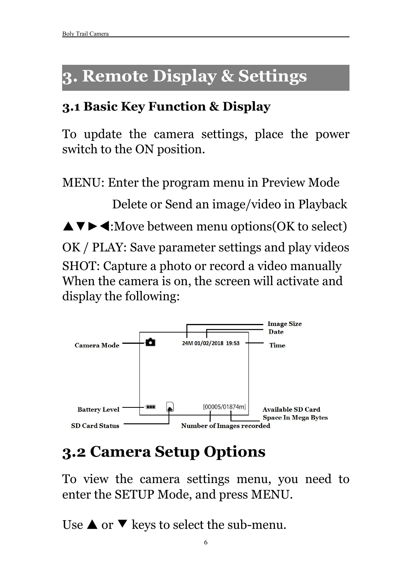## <span id="page-7-0"></span>**3. Remote Display & Settings**

#### <span id="page-7-1"></span>**3.1 Basic Key Function & Display**

To update the camera settings, place the power switch to the ON position.

MENU: Enter the program menu in Preview Mode Delete or Send an image/video in Playback ▼►:Move between menu options(OK to select) OK / PLAY: Save parameter settings and play videos SHOT: Capture a photo or record a video manually When the camera is on, the screen will activate and display the following:



## <span id="page-7-2"></span>**3.2 Camera Setup Options**

To view the camera settings menu, you need to enter the SETUP Mode, and press MENU.

Use  $\triangle$  or  $\nabla$  keys to select the sub-menu.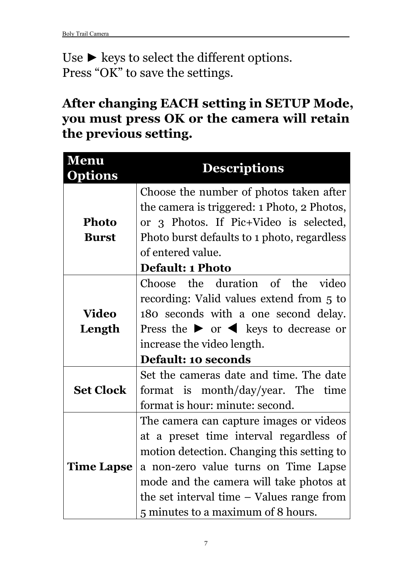Use  $\blacktriangleright$  keys to select the different options. Press "OK" to save the settings.

#### **After changing EACH setting in SETUP Mode, you must press OK or the camera will retain the previous setting.**

| Menu<br><b>Options</b> | <b>Descriptions</b>                                                    |
|------------------------|------------------------------------------------------------------------|
|                        | Choose the number of photos taken after                                |
|                        | the camera is triggered: 1 Photo, 2 Photos,                            |
| <b>Photo</b>           | or 3 Photos. If Pic+Video is selected,                                 |
| <b>Burst</b>           | Photo burst defaults to 1 photo, regardless                            |
|                        | of entered value.                                                      |
|                        | <b>Default: 1 Photo</b>                                                |
|                        | Choose the duration of the<br>video                                    |
|                        | recording: Valid values extend from 5 to                               |
| <b>Video</b>           | 180 seconds with a one second delay.                                   |
| Length                 | Press the $\triangleright$ or $\blacktriangleleft$ keys to decrease or |
|                        | increase the video length.                                             |
|                        | <b>Default: 10 seconds</b>                                             |
|                        | Set the cameras date and time. The date                                |
| <b>Set Clock</b>       | format is month/day/year. The time                                     |
|                        | format is hour: minute: second.                                        |
|                        | The camera can capture images or videos                                |
|                        | at a preset time interval regardless of                                |
|                        | motion detection. Changing this setting to                             |
| <b>Time Lapse</b>      | a non-zero value turns on Time Lapse                                   |
|                        | mode and the camera will take photos at                                |
|                        | the set interval time $-$ Values range from                            |
|                        | 5 minutes to a maximum of 8 hours.                                     |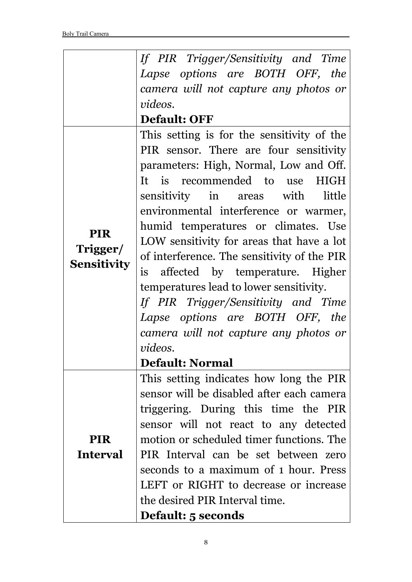|                    | If PIR Trigger/Sensitivity and Time         |
|--------------------|---------------------------------------------|
|                    | Lapse options are BOTH OFF, the             |
|                    | camera will not capture any photos or       |
|                    | videos.                                     |
|                    | <b>Default: OFF</b>                         |
|                    | This setting is for the sensitivity of the  |
|                    | PIR sensor. There are four sensitivity      |
|                    | parameters: High, Normal, Low and Off.      |
|                    | It is recommended to use<br>HIGH            |
|                    | sensitivity in<br>areas with<br>little      |
|                    | environmental interference or warmer,       |
|                    | humid temperatures or climates. Use         |
| <b>PIR</b>         | LOW sensitivity for areas that have a lot   |
| Trigger/           | of interference. The sensitivity of the PIR |
| <b>Sensitivity</b> | is affected by temperature. Higher          |
|                    | temperatures lead to lower sensitivity.     |
|                    | If PIR Trigger/Sensitivity and Time         |
|                    | Lapse options are BOTH OFF, the             |
|                    | camera will not capture any photos or       |
|                    | videos.                                     |
|                    | <b>Default: Normal</b>                      |
|                    | This setting indicates how long the PIR     |
|                    | sensor will be disabled after each camera   |
|                    | triggering. During this time the PIR        |
|                    | sensor will not react to any detected       |
| <b>PIR</b>         | motion or scheduled timer functions. The    |
| <b>Interval</b>    | PIR Interval can be set between zero        |
|                    | seconds to a maximum of 1 hour. Press       |
|                    | LEFT or RIGHT to decrease or increase       |
|                    | the desired PIR Interval time.              |
|                    | <b>Default: 5 seconds</b>                   |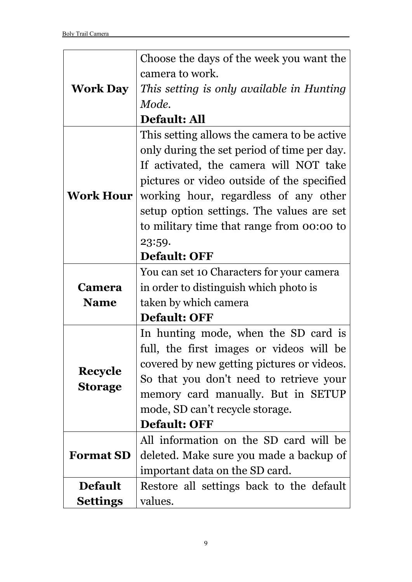|                  | Choose the days of the week you want the    |
|------------------|---------------------------------------------|
|                  | camera to work.                             |
| <b>Work Day</b>  | This setting is only available in Hunting   |
|                  | Mode.                                       |
|                  | <b>Default: All</b>                         |
|                  | This setting allows the camera to be active |
|                  | only during the set period of time per day. |
|                  | If activated, the camera will NOT take      |
|                  | pictures or video outside of the specified  |
| <b>Work Hour</b> | working hour, regardless of any other       |
|                  | setup option settings. The values are set   |
|                  | to military time that range from 00:00 to   |
|                  | 23:59.                                      |
|                  | <b>Default: OFF</b>                         |
|                  | You can set 10 Characters for your camera   |
| <b>Camera</b>    | in order to distinguish which photo is      |
| <b>Name</b>      | taken by which camera                       |
|                  | <b>Default: OFF</b>                         |
|                  | In hunting mode, when the SD card is        |
|                  | full, the first images or videos will be    |
|                  | covered by new getting pictures or videos.  |
| <b>Recycle</b>   | So that you don't need to retrieve your     |
| <b>Storage</b>   | memory card manually. But in SETUP          |
|                  | mode, SD can't recycle storage.             |
|                  | <b>Default: OFF</b>                         |
|                  | All information on the SD card will be      |
| <b>Format SD</b> | deleted. Make sure you made a backup of     |
|                  | important data on the SD card.              |
| <b>Default</b>   | Restore all settings back to the default    |
| <b>Settings</b>  | values.                                     |
|                  |                                             |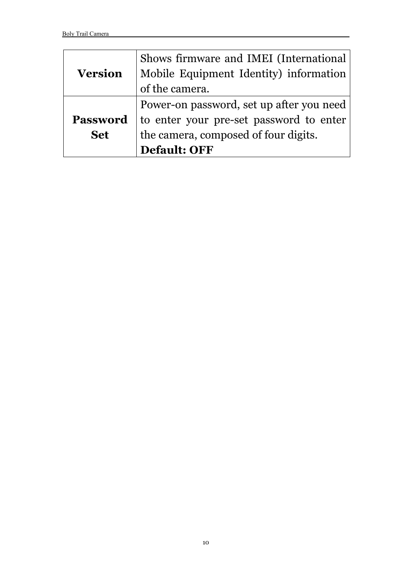|                 | Shows firmware and IMEI (International   |
|-----------------|------------------------------------------|
|                 |                                          |
| <b>Version</b>  | Mobile Equipment Identity) information   |
|                 | of the camera.                           |
|                 | Power-on password, set up after you need |
| <b>Password</b> | to enter your pre-set password to enter  |
| <b>Set</b>      | the camera, composed of four digits.     |
|                 | <b>Default: OFF</b>                      |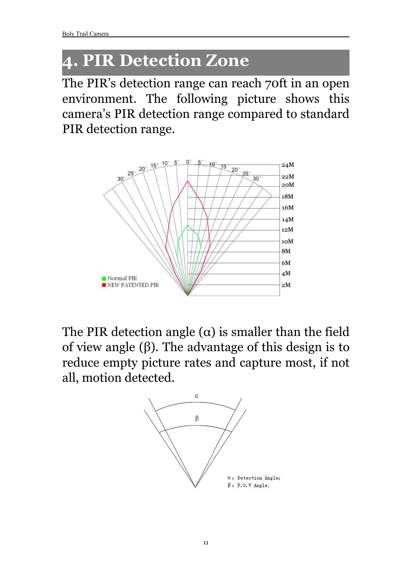## <span id="page-12-0"></span>**4. PIR Detection Zone**

The PIR's detection range can reach 70ft in an open environment. The following picture shows this camera's PIR detection range compared to standard PIR detection range.



The PIR detection angle  $(\alpha)$  is smaller than the field of view angle (β). The advantage of this design is to reduce empty picture rates and capture most, if not all, motion detected.

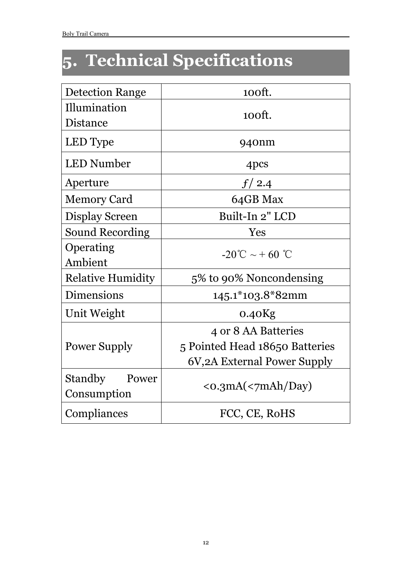# <span id="page-13-0"></span>**5. Technical Specifications**

| <b>Detection Range</b>                 | 100ft.                               |  |
|----------------------------------------|--------------------------------------|--|
| Illumination                           | 100ft.                               |  |
| Distance                               |                                      |  |
| LED Type                               | 940nm                                |  |
| <b>LED Number</b>                      | 4pcs                                 |  |
| Aperture                               | f/2.4                                |  |
| <b>Memory Card</b>                     | 64GB Max                             |  |
| Display Screen                         | Built-In 2" LCD                      |  |
| <b>Sound Recording</b>                 | Yes                                  |  |
| Operating                              | $-20^{\circ}$ C ~ + 60 $^{\circ}$ C  |  |
| Ambient                                |                                      |  |
| <b>Relative Humidity</b>               | 5% to 90% Noncondensing              |  |
| <b>Dimensions</b>                      | 145.1*103.8*82mm                     |  |
| Unit Weight                            | $0.40$ Kg                            |  |
|                                        | 4 or 8 AA Batteries                  |  |
| <b>Power Supply</b>                    | 5 Pointed Head 18650 Batteries       |  |
|                                        | 6V, 2A External Power Supply         |  |
| <b>Standby</b><br>Power<br>Consumption | $\langle$ o.3mA( $\langle$ 7mAh/Day) |  |
| Compliances                            | FCC, CE, RoHS                        |  |
|                                        |                                      |  |